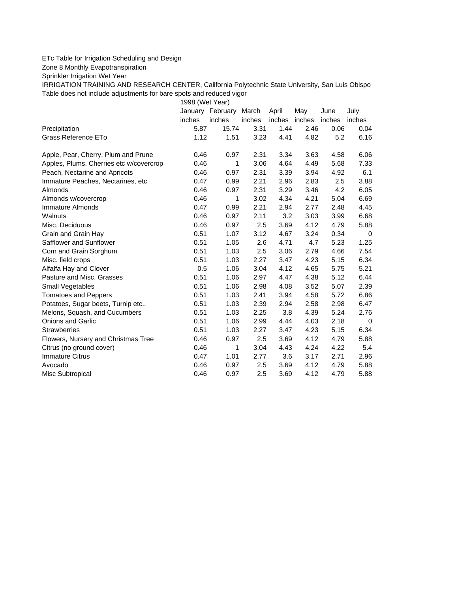## ETc Table for Irrigation Scheduling and Design

Zone 8 Monthly Evapotranspiration

Sprinkler Irrigation Wet Year

IRRIGATION TRAINING AND RESEARCH CENTER, California Polytechnic State University, San Luis Obispo Table does not include adjustments for bare spots and reduced vigor

1998 (Wet Year)

|                                         |        | January February | March  | April  | May    | June   | July     |
|-----------------------------------------|--------|------------------|--------|--------|--------|--------|----------|
|                                         | inches | inches           | inches | inches | inches | inches | inches   |
| Precipitation                           | 5.87   | 15.74            | 3.31   | 1.44   | 2.46   | 0.06   | 0.04     |
| Grass Reference ETo                     | 1.12   | 1.51             | 3.23   | 4.41   | 4.82   | 5.2    | 6.16     |
| Apple, Pear, Cherry, Plum and Prune     | 0.46   | 0.97             | 2.31   | 3.34   | 3.63   | 4.58   | 6.06     |
| Apples, Plums, Cherries etc w/covercrop | 0.46   | 1                | 3.06   | 4.64   | 4.49   | 5.68   | 7.33     |
| Peach, Nectarine and Apricots           | 0.46   | 0.97             | 2.31   | 3.39   | 3.94   | 4.92   | 6.1      |
| Immature Peaches, Nectarines, etc       | 0.47   | 0.99             | 2.21   | 2.96   | 2.83   | 2.5    | 3.88     |
| Almonds                                 | 0.46   | 0.97             | 2.31   | 3.29   | 3.46   | 4.2    | 6.05     |
| Almonds w/covercrop                     | 0.46   | 1                | 3.02   | 4.34   | 4.21   | 5.04   | 6.69     |
| Immature Almonds                        | 0.47   | 0.99             | 2.21   | 2.94   | 2.77   | 2.48   | 4.45     |
| Walnuts                                 | 0.46   | 0.97             | 2.11   | 3.2    | 3.03   | 3.99   | 6.68     |
| Misc. Deciduous                         | 0.46   | 0.97             | 2.5    | 3.69   | 4.12   | 4.79   | 5.88     |
| Grain and Grain Hay                     | 0.51   | 1.07             | 3.12   | 4.67   | 3.24   | 0.34   | $\Omega$ |
| Safflower and Sunflower                 | 0.51   | 1.05             | 2.6    | 4.71   | 4.7    | 5.23   | 1.25     |
| Corn and Grain Sorghum                  | 0.51   | 1.03             | 2.5    | 3.06   | 2.79   | 4.66   | 7.54     |
| Misc. field crops                       | 0.51   | 1.03             | 2.27   | 3.47   | 4.23   | 5.15   | 6.34     |
| Alfalfa Hay and Clover                  | 0.5    | 1.06             | 3.04   | 4.12   | 4.65   | 5.75   | 5.21     |
| Pasture and Misc. Grasses               | 0.51   | 1.06             | 2.97   | 4.47   | 4.38   | 5.12   | 6.44     |
| Small Vegetables                        | 0.51   | 1.06             | 2.98   | 4.08   | 3.52   | 5.07   | 2.39     |
| <b>Tomatoes and Peppers</b>             | 0.51   | 1.03             | 2.41   | 3.94   | 4.58   | 5.72   | 6.86     |
| Potatoes, Sugar beets, Turnip etc       | 0.51   | 1.03             | 2.39   | 2.94   | 2.58   | 2.98   | 6.47     |
| Melons, Squash, and Cucumbers           | 0.51   | 1.03             | 2.25   | 3.8    | 4.39   | 5.24   | 2.76     |
| <b>Onions and Garlic</b>                | 0.51   | 1.06             | 2.99   | 4.44   | 4.03   | 2.18   | $\Omega$ |
| <b>Strawberries</b>                     | 0.51   | 1.03             | 2.27   | 3.47   | 4.23   | 5.15   | 6.34     |
| Flowers, Nursery and Christmas Tree     | 0.46   | 0.97             | 2.5    | 3.69   | 4.12   | 4.79   | 5.88     |
| Citrus (no ground cover)                | 0.46   | 1                | 3.04   | 4.43   | 4.24   | 4.22   | 5.4      |
| <b>Immature Citrus</b>                  | 0.47   | 1.01             | 2.77   | 3.6    | 3.17   | 2.71   | 2.96     |
| Avocado                                 | 0.46   | 0.97             | 2.5    | 3.69   | 4.12   | 4.79   | 5.88     |
| Misc Subtropical                        | 0.46   | 0.97             | 2.5    | 3.69   | 4.12   | 4.79   | 5.88     |